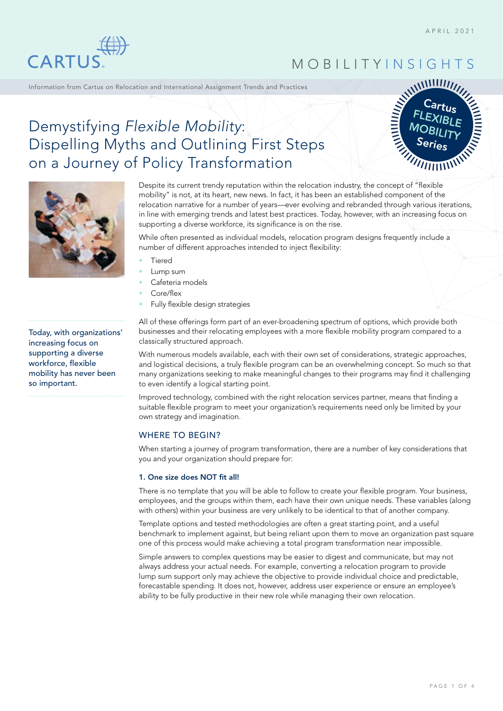

MOBILITY INSIGHTS

Information from Cartus on Relocation and International Assignment Trends and Practices



# Demystifying *Flexible Mobility*: Dispelling Myths and Outlining First Steps on a Journey of Policy Transformation



Today, with organizations' increasing focus on supporting a diverse workforce, flexible mobility has never been so important.

Despite its current trendy reputation within the relocation industry, the concept of "flexible mobility" is not, at its heart, new news. In fact, it has been an established component of the relocation narrative for a number of years—ever evolving and rebranded through various iterations, in line with emerging trends and latest best practices. Today, however, with an increasing focus on supporting a diverse workforce, its significance is on the rise.

While often presented as individual models, relocation program designs frequently include a number of different approaches intended to inject flexibility:

- **Tiered**
- Lump sum
- Cafeteria models
- Core/flex
- Fully flexible design strategies

All of these offerings form part of an ever-broadening spectrum of options, which provide both businesses and their relocating employees with a more flexible mobility program compared to a classically structured approach.

With numerous models available, each with their own set of considerations, strategic approaches, and logistical decisions, a truly flexible program can be an overwhelming concept. So much so that many organizations seeking to make meaningful changes to their programs may find it challenging to even identify a logical starting point.

Improved technology, combined with the right relocation services partner, means that finding a suitable flexible program to meet your organization's requirements need only be limited by your own strategy and imagination.

### WHERE TO BEGIN?

When starting a journey of program transformation, there are a number of key considerations that you and your organization should prepare for:

#### 1. One size does NOT fit all!

There is no template that you will be able to follow to create your flexible program. Your business, employees, and the groups within them, each have their own unique needs. These variables (along with others) within your business are very unlikely to be identical to that of another company.

Template options and tested methodologies are often a great starting point, and a useful benchmark to implement against, but being reliant upon them to move an organization past square one of this process would make achieving a total program transformation near impossible.

Simple answers to complex questions may be easier to digest and communicate, but may not always address your actual needs. For example, converting a relocation program to provide lump sum support only may achieve the objective to provide individual choice and predictable, forecastable spending. It does not, however, address user experience or ensure an employee's ability to be fully productive in their new role while managing their own relocation.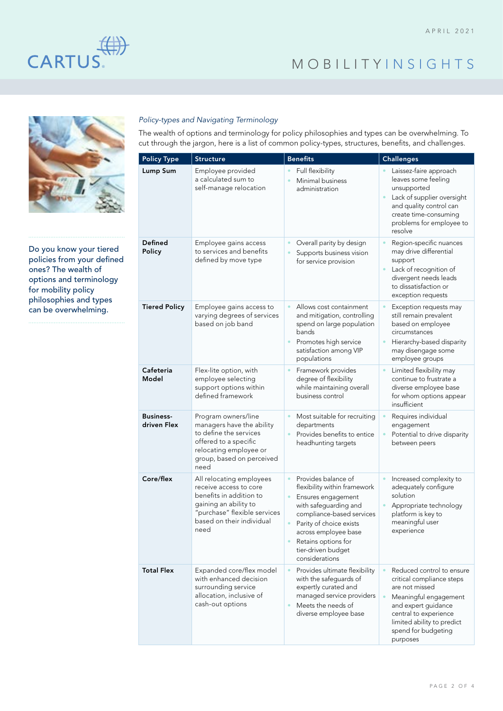

# MOBILITY INSIGHTS



Do you know your tiered policies from your defined ones? The wealth of options and terminology for mobility policy philosophies and types can be overwhelming.

### *Policy-types and Navigating Terminology*

The wealth of options and terminology for policy philosophies and types can be overwhelming. To cut through the jargon, here is a list of common policy-types, structures, benefits, and challenges.

| <b>Policy Type</b>              | <b>Structure</b>                                                                                                                                                            | <b>Benefits</b>                                                                                                                                                                                                                                                | <b>Challenges</b>                                                                                                                                                                                                  |
|---------------------------------|-----------------------------------------------------------------------------------------------------------------------------------------------------------------------------|----------------------------------------------------------------------------------------------------------------------------------------------------------------------------------------------------------------------------------------------------------------|--------------------------------------------------------------------------------------------------------------------------------------------------------------------------------------------------------------------|
| <b>Lump Sum</b>                 | Employee provided<br>a calculated sum to<br>self-manage relocation                                                                                                          | Full flexibility<br>Minimal business<br>administration                                                                                                                                                                                                         | Laissez-faire approach<br>leaves some feeling<br>unsupported<br>Lack of supplier oversight<br>and quality control can<br>create time-consuming<br>problems for employee to<br>resolve                              |
| <b>Defined</b><br>Policy        | Employee gains access<br>to services and benefits<br>defined by move type                                                                                                   | Overall parity by design<br>Supports business vision<br>for service provision                                                                                                                                                                                  | Region-specific nuances<br>may drive differential<br>support<br>Lack of recognition of<br>divergent needs leads<br>to dissatisfaction or<br>exception requests                                                     |
| <b>Tiered Policy</b>            | Employee gains access to<br>varying degrees of services<br>based on job band                                                                                                | Allows cost containment<br>and mitigation, controlling<br>spend on large population<br>bands<br>$\bullet$<br>Promotes high service<br>satisfaction among VIP<br>populations                                                                                    | Exception requests may<br>still remain prevalent<br>based on employee<br>circumstances<br>Hierarchy-based disparity<br>$\bullet$<br>may disengage some<br>employee groups                                          |
| Cafeteria<br>Model              | Flex-lite option, with<br>employee selecting<br>support options within<br>defined framework                                                                                 | Framework provides<br>degree of flexibility<br>while maintaining overall<br>business control                                                                                                                                                                   | Limited flexibility may<br>continue to frustrate a<br>diverse employee base<br>for whom options appear<br>insufficient                                                                                             |
| <b>Business-</b><br>driven Flex | Program owners/line<br>managers have the ability<br>to define the services<br>offered to a specific<br>relocating employee or<br>group, based on perceived<br>need          | Most suitable for recruiting<br>departments<br>Provides benefits to entice<br>headhunting targets                                                                                                                                                              | Requires individual<br>engagement<br>Potential to drive disparity<br>between peers                                                                                                                                 |
| Core/flex                       | All relocating employees<br>receive access to core<br>benefits in addition to<br>gaining an ability to<br>"purchase" flexible services<br>based on their individual<br>need | $\bullet$<br>Provides balance of<br>flexibility within framework<br>Ensures engagement<br>with safeguarding and<br>compliance-based services<br>Parity of choice exists<br>across employee base<br>Retains options for<br>tier-driven budget<br>considerations | Increased complexity to<br>adequately configure<br>solution<br>Appropriate technology<br>platform is key to<br>meaningful user<br>experience                                                                       |
| <b>Total Flex</b>               | Expanded core/flex model<br>with enhanced decision<br>surrounding service<br>allocation, inclusive of<br>cash-out options                                                   | Provides ultimate flexibility<br>$\bullet$<br>with the safeguards of<br>expertly curated and<br>managed service providers<br>Meets the needs of<br>$\bullet$<br>diverse employee base                                                                          | Reduced control to ensure<br>critical compliance steps<br>are not missed<br>Meaningful engagement<br>and expert guidance<br>central to experience<br>limited ability to predict<br>spend for budgeting<br>purposes |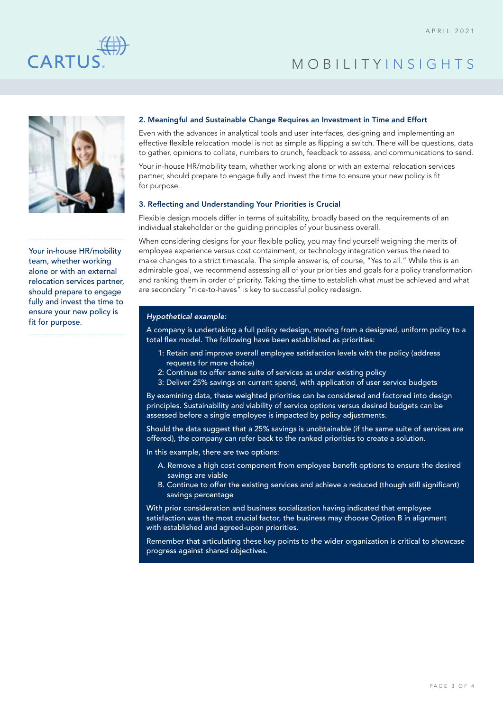



Your in-house HR/mobility team, whether working alone or with an external relocation services partner, should prepare to engage fully and invest the time to ensure your new policy is fit for purpose.

#### 2. Meaningful and Sustainable Change Requires an Investment in Time and Effort

Even with the advances in analytical tools and user interfaces, designing and implementing an effective flexible relocation model is not as simple as flipping a switch. There will be questions, data to gather, opinions to collate, numbers to crunch, feedback to assess, and communications to send.

Your in-house HR/mobility team, whether working alone or with an external relocation services partner, should prepare to engage fully and invest the time to ensure your new policy is fit for purpose.

#### 3. Reflecting and Understanding Your Priorities is Crucial

Flexible design models differ in terms of suitability, broadly based on the requirements of an individual stakeholder or the guiding principles of your business overall.

When considering designs for your flexible policy, you may find yourself weighing the merits of employee experience versus cost containment, or technology integration versus the need to make changes to a strict timescale. The simple answer is, of course, "Yes to all." While this is an admirable goal, we recommend assessing all of your priorities and goals for a policy transformation and ranking them in order of priority. Taking the time to establish what *must* be achieved and what are secondary "nice-to-haves" is key to successful policy redesign.

#### *Hypothetical example:*

A company is undertaking a full policy redesign, moving from a designed, uniform policy to a total flex model. The following have been established as priorities:

- 1: Retain and improve overall employee satisfaction levels with the policy (address requests for more choice)
- 2: Continue to offer same suite of services as under existing policy
- 3: Deliver 25% savings on current spend, with application of user service budgets

By examining data, these weighted priorities can be considered and factored into design principles. Sustainability and viability of service options versus desired budgets can be assessed before a single employee is impacted by policy adjustments.

Should the data suggest that a 25% savings is unobtainable (if the same suite of services are offered), the company can refer back to the ranked priorities to create a solution.

In this example, there are two options:

- A. Remove a high cost component from employee benefit options to ensure the desired savings are viable
- B. Continue to offer the existing services and achieve a reduced (though still significant) savings percentage

With prior consideration and business socialization having indicated that employee satisfaction was the most crucial factor, the business may choose Option B in alignment with established and agreed-upon priorities.

Remember that articulating these key points to the wider organization is critical to showcase progress against shared objectives.